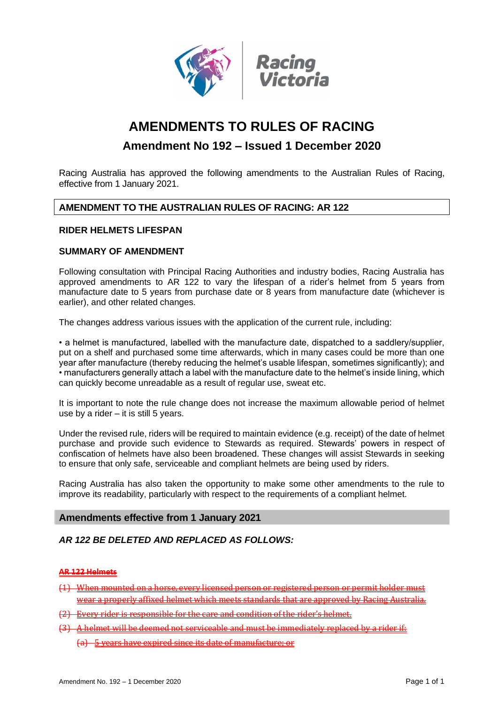

# **AMENDMENTS TO RULES OF RACING**

## **Amendment No 192 – Issued 1 December 2020**

Racing Australia has approved the following amendments to the Australian Rules of Racing, effective from 1 January 2021.

### **AMENDMENT TO THE AUSTRALIAN RULES OF RACING: AR 122**

#### **RIDER HELMETS LIFESPAN**

#### **SUMMARY OF AMENDMENT**

Following consultation with Principal Racing Authorities and industry bodies, Racing Australia has approved amendments to AR 122 to vary the lifespan of a rider's helmet from 5 years from manufacture date to 5 years from purchase date or 8 years from manufacture date (whichever is earlier), and other related changes.

The changes address various issues with the application of the current rule, including:

• a helmet is manufactured, labelled with the manufacture date, dispatched to a saddlery/supplier, put on a shelf and purchased some time afterwards, which in many cases could be more than one year after manufacture (thereby reducing the helmet's usable lifespan, sometimes significantly); and • manufacturers generally attach a label with the manufacture date to the helmet's inside lining, which can quickly become unreadable as a result of regular use, sweat etc.

It is important to note the rule change does not increase the maximum allowable period of helmet use by a rider  $-$  it is still 5 years.

Under the revised rule, riders will be required to maintain evidence (e.g. receipt) of the date of helmet purchase and provide such evidence to Stewards as required. Stewards' powers in respect of confiscation of helmets have also been broadened. These changes will assist Stewards in seeking to ensure that only safe, serviceable and compliant helmets are being used by riders.

Racing Australia has also taken the opportunity to make some other amendments to the rule to improve its readability, particularly with respect to the requirements of a compliant helmet.

#### **Amendments effective from 1 January 2021**

### *AR 122 BE DELETED AND REPLACED AS FOLLOWS:*

#### **AR 122 Helmets**

- When mounted on a horse, every licensed person or registered person or permit holder must ar a properly affixed helmet which meets standards that are approved by Racing Austr
- (2) Every rider is responsible for the care and condition of the rider's helmet.
- (3) A helmet will be deemed not serviceable and must be immediately replaced by a rider if:
	- (a) 5 years have expired since its date of manufacture; or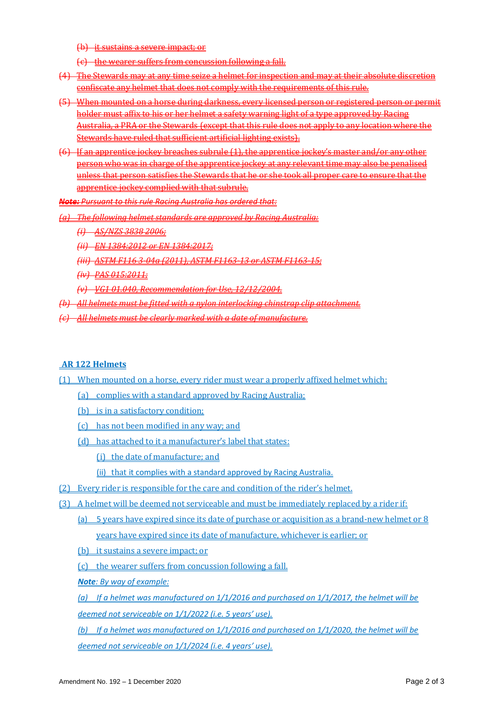(b) it sustains a severe impact; or

- (c) the wearer suffers from concussion following a fall.
- (4) The Stewards may at any time seize a helmet for inspection and may at their absolute discretion confiscate any helmet that does not comply with the requirements of this rule.
- (5) When mounted on a horse during darkness, every licensed person or registered person or permit holder must affix to his or her helmet a safety warning light of a type approved by Racing Australia, a PRA or the Stewards (except that this rule does not apply to any location where the Stewards have ruled that sufficient artificial lighting exists).
- (6) If an apprentice jockey breaches subrule (1), the apprentice jockey's master and/or any other person who was in charge of the apprentice jockey at any relevant time may also be penalised unless that person satisfies the Stewards that he or she took all proper care to ensure that the apprentice jockey complied with that subrule.

*Note: Pursuant to this rule Racing Australia has ordered that:*

*(a) The following helmet standards are approved by Racing Australia:* 

- *(i) AS/NZS 3838 2006;*
- *(ii) EN 1384:2012 or EN 1384:2017;*

*(iii) ASTM F116 3-04a (2011), ASTM F1163-13 or ASTM F1163-15;*

- *(iv) PAS 015:2011;*
- *(v) VG1 01.040, Recommendation for Use, 12/12/2004.*
- *(b) All helmets must be fitted with a nylon interlocking chinstrap clip attachment.*
- *(c) All helmets must be clearly marked with a date of manufacture.*

### **AR 122 Helmets**

- (1) When mounted on a horse, every rider must wear a properly affixed helmet which:
	- (a) complies with a standard approved by Racing Australia;
	- (b) is in a satisfactory condition;
	- (c) has not been modified in any way; and
	- (d) has attached to it a manufacturer's label that states:

(i) the date of manufacture; and

(ii) that it complies with a standard approved by Racing Australia.

- (2) Every rider is responsible for the care and condition of the rider's helmet.
- (3) A helmet will be deemed not serviceable and must be immediately replaced by a rider if:
	- (a) 5 years have expired since its date of purchase or acquisition as a brand-new helmet or 8 years have expired since its date of manufacture, whichever is earlier; or
	- (b) it sustains a severe impact; or
	- (c) the wearer suffers from concussion following a fall.

*Note: By way of example:* 

*(a) If a helmet was manufactured on 1/1/2016 and purchased on 1/1/2017, the helmet will be deemed not serviceable on 1/1/2022 (i.e. 5 years' use).* 

*(b) If a helmet was manufactured on 1/1/2016 and purchased on 1/1/2020, the helmet will be deemed not serviceable on 1/1/2024 (i.e. 4 years' use).*